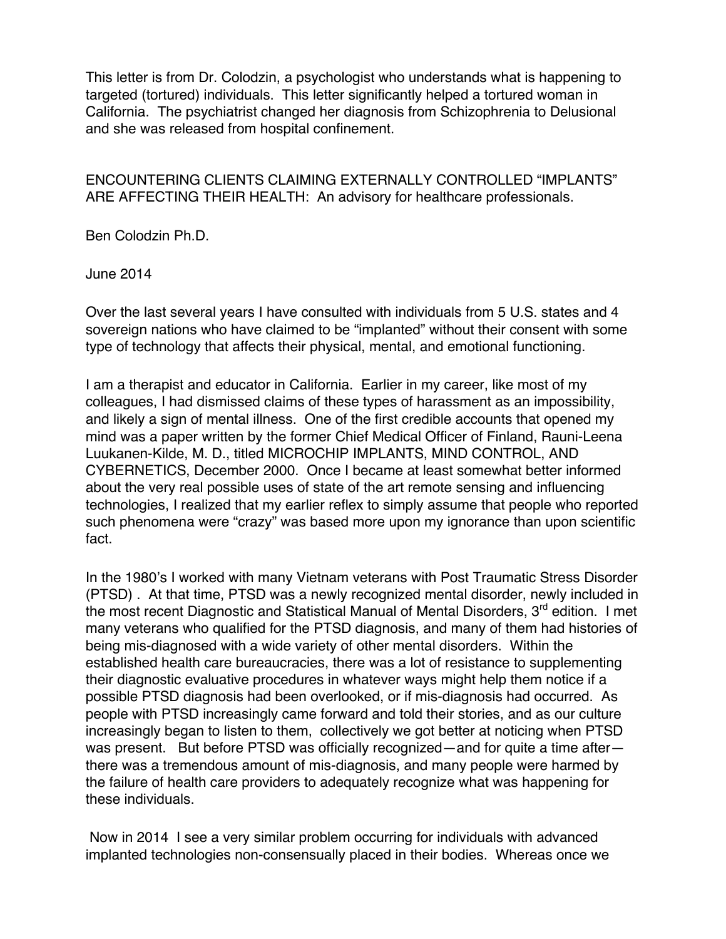This letter is from Dr. Colodzin, a psychologist who understands what is happening to targeted (tortured) individuals. This letter significantly helped a tortured woman in California. The psychiatrist changed her diagnosis from Schizophrenia to Delusional and she was released from hospital confinement.

ENCOUNTERING CLIENTS CLAIMING EXTERNALLY CONTROLLED "IMPLANTS" ARE AFFECTING THEIR HEALTH: An advisory for healthcare professionals.

Ben Colodzin Ph.D.

June 2014

Over the last several years I have consulted with individuals from 5 U.S. states and 4 sovereign nations who have claimed to be "implanted" without their consent with some type of technology that affects their physical, mental, and emotional functioning.

I am a therapist and educator in California. Earlier in my career, like most of my colleagues, I had dismissed claims of these types of harassment as an impossibility, and likely a sign of mental illness. One of the first credible accounts that opened my mind was a paper written by the former Chief Medical Officer of Finland, Rauni-Leena Luukanen-Kilde, M. D., titled MICROCHIP IMPLANTS, MIND CONTROL, AND CYBERNETICS, December 2000. Once I became at least somewhat better informed about the very real possible uses of state of the art remote sensing and influencing technologies, I realized that my earlier reflex to simply assume that people who reported such phenomena were "crazy" was based more upon my ignorance than upon scientific fact.

In the 1980's I worked with many Vietnam veterans with Post Traumatic Stress Disorder (PTSD) . At that time, PTSD was a newly recognized mental disorder, newly included in the most recent Diagnostic and Statistical Manual of Mental Disorders,  $3<sup>rd</sup>$  edition. I met many veterans who qualified for the PTSD diagnosis, and many of them had histories of being mis-diagnosed with a wide variety of other mental disorders. Within the established health care bureaucracies, there was a lot of resistance to supplementing their diagnostic evaluative procedures in whatever ways might help them notice if a possible PTSD diagnosis had been overlooked, or if mis-diagnosis had occurred. As people with PTSD increasingly came forward and told their stories, and as our culture increasingly began to listen to them, collectively we got better at noticing when PTSD was present. But before PTSD was officially recognized—and for quite a time after there was a tremendous amount of mis-diagnosis, and many people were harmed by the failure of health care providers to adequately recognize what was happening for these individuals.

Now in 2014 I see a very similar problem occurring for individuals with advanced implanted technologies non-consensually placed in their bodies. Whereas once we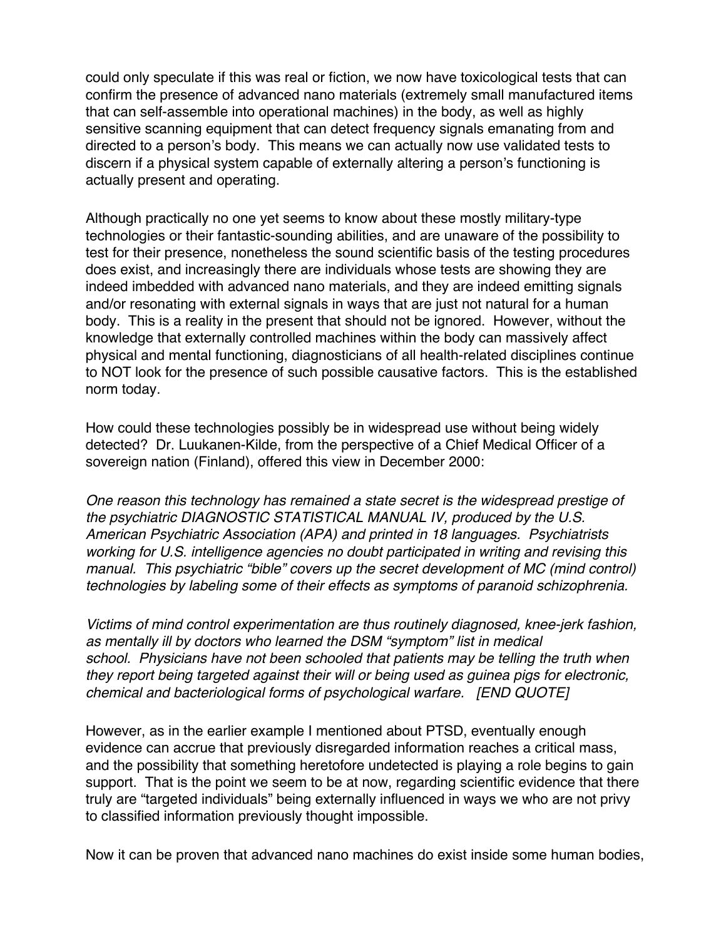could only speculate if this was real or fiction, we now have toxicological tests that can confirm the presence of advanced nano materials (extremely small manufactured items that can self-assemble into operational machines) in the body, as well as highly sensitive scanning equipment that can detect frequency signals emanating from and directed to a person's body. This means we can actually now use validated tests to discern if a physical system capable of externally altering a person's functioning is actually present and operating.

Although practically no one yet seems to know about these mostly military-type technologies or their fantastic-sounding abilities, and are unaware of the possibility to test for their presence, nonetheless the sound scientific basis of the testing procedures does exist, and increasingly there are individuals whose tests are showing they are indeed imbedded with advanced nano materials, and they are indeed emitting signals and/or resonating with external signals in ways that are just not natural for a human body. This is a reality in the present that should not be ignored. However, without the knowledge that externally controlled machines within the body can massively affect physical and mental functioning, diagnosticians of all health-related disciplines continue to NOT look for the presence of such possible causative factors. This is the established norm today.

How could these technologies possibly be in widespread use without being widely detected? Dr. Luukanen-Kilde, from the perspective of a Chief Medical Officer of a sovereign nation (Finland), offered this view in December 2000:

*One reason this technology has remained a state secret is the widespread prestige of the psychiatric DIAGNOSTIC STATISTICAL MANUAL IV, produced by the U.S. American Psychiatric Association (APA) and printed in 18 languages. Psychiatrists working for U.S. intelligence agencies no doubt participated in writing and revising this manual. This psychiatric "bible" covers up the secret development of MC (mind control) technologies by labeling some of their effects as symptoms of paranoid schizophrenia.*

*Victims of mind control experimentation are thus routinely diagnosed, knee-jerk fashion, as mentally ill by doctors who learned the DSM "symptom" list in medical school. Physicians have not been schooled that patients may be telling the truth when they report being targeted against their will or being used as guinea pigs for electronic, chemical and bacteriological forms of psychological warfare. [END QUOTE]*

However, as in the earlier example I mentioned about PTSD, eventually enough evidence can accrue that previously disregarded information reaches a critical mass, and the possibility that something heretofore undetected is playing a role begins to gain support. That is the point we seem to be at now, regarding scientific evidence that there truly are "targeted individuals" being externally influenced in ways we who are not privy to classified information previously thought impossible.

Now it can be proven that advanced nano machines do exist inside some human bodies,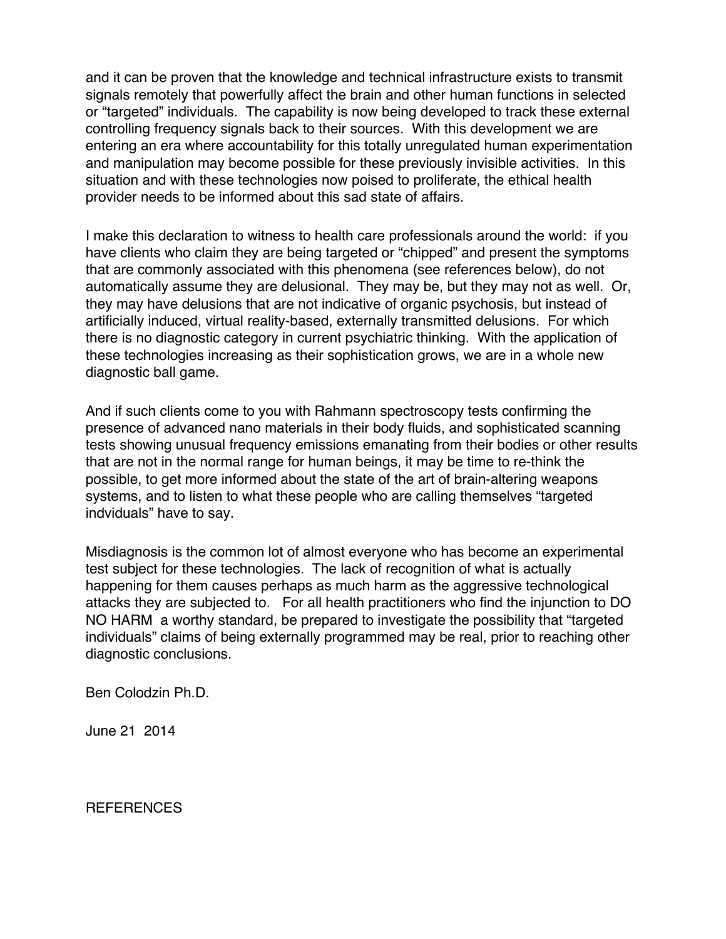and it can be proven that the knowledge and technical infrastructure exists to transmit signals remotely that powerfully affect the brain and other human functions in selected or "targeted" individuals. The capability is now being developed to track these external controlling frequency signals back to their sources. With this development we are entering an era where accountability for this totally unregulated human experimentation and manipulation may become possible for these previously invisible activities. In this situation and with these technologies now poised to proliferate, the ethical health provider needs to be informed about this sad state of affairs.

I make this declaration to witness to health care professionals around the world: if you have clients who claim they are being targeted or "chipped" and present the symptoms that are commonly associated with this phenomena (see references below), do not automatically assume they are delusional. They may be, but they may not as well. Or, they may have delusions that are not indicative of organic psychosis, but instead of artificially induced, virtual reality-based, externally transmitted delusions. For which there is no diagnostic category in current psychiatric thinking. With the application of these technologies increasing as their sophistication grows, we are in a whole new diagnostic ball game.

And if such clients come to you with Rahmann spectroscopy tests confirming the presence of advanced nano materials in their body fluids, and sophisticated scanning tests showing unusual frequency emissions emanating from their bodies or other results that are not in the normal range for human beings, it may be time to re-think the possible, to get more informed about the state of the art of brain-altering weapons systems, and to listen to what these people who are calling themselves "targeted indviduals" have to say.

Misdiagnosis is the common lot of almost everyone who has become an experimental test subject for these technologies. The lack of recognition of what is actually happening for them causes perhaps as much harm as the aggressive technological attacks they are subjected to. For all health practitioners who find the injunction to DO NO HARM a worthy standard, be prepared to investigate the possibility that "targeted individuals" claims of being externally programmed may be real, prior to reaching other diagnostic conclusions.

Ben Colodzin Ph.D.

June 21 2014

REFERENCES